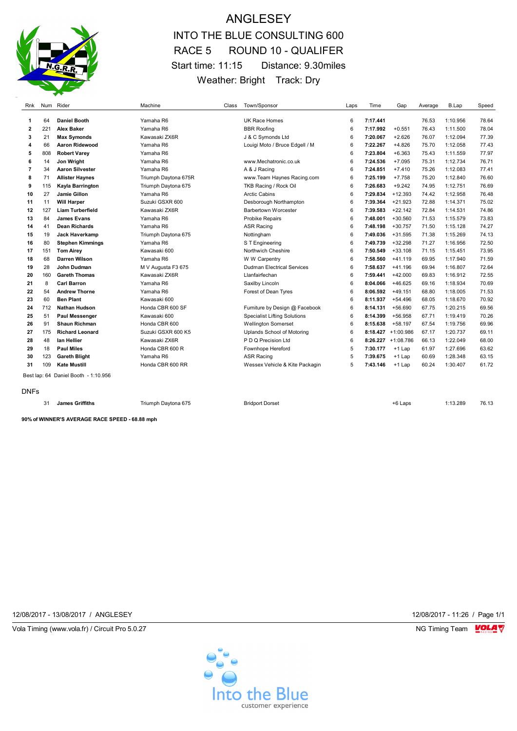

## ANGLESEY INTO THE BLUE CONSULTING 600 RACE 5 ROUND 10 - QUALIFER Start time: 11:15 Distance: 9.30miles Weather: Bright Track: Dry

| Rnk                     |     | Num Rider                            | Machine              | Class | Town/Sponsor                        | Laps | Time     | Gap                | Average | B.Lap    | Speed |
|-------------------------|-----|--------------------------------------|----------------------|-------|-------------------------------------|------|----------|--------------------|---------|----------|-------|
| 1                       | 64  | <b>Daniel Booth</b>                  | Yamaha R6            |       | <b>UK Race Homes</b>                | 6    | 7:17.441 |                    | 76.53   | 1:10.956 | 78.64 |
| $\overline{\mathbf{2}}$ | 221 | <b>Alex Baker</b>                    | Yamaha R6            |       | <b>BBR Roofing</b>                  | 6    | 7:17.992 | $+0.551$           | 76.43   | 1:11.500 | 78.04 |
| 3                       | 21  | <b>Max Symonds</b>                   | Kawasaki ZX6R        |       | J & C Symonds Ltd                   | 6    | 7:20.067 | $+2.626$           | 76.07   | 1:12.094 | 77.39 |
| 4                       | 66  | <b>Aaron Ridewood</b>                | Yamaha R6            |       | Louigi Moto / Bruce Edgell / M      | 6    | 7:22.267 | $+4.826$           | 75.70   | 1:12.058 | 77.43 |
| 5                       | 808 | <b>Robert Varev</b>                  | Yamaha R6            |       |                                     | 6    | 7:23.804 | $+6.363$           | 75.43   | 1:11.559 | 77.97 |
| 6                       | 14  | Jon Wright                           | Yamaha R6            |       | www.Mechatronic.co.uk               | 6    | 7:24.536 | $+7.095$           | 75.31   | 1:12.734 | 76.71 |
| $\overline{7}$          | 34  | <b>Aaron Silvester</b>               | Yamaha R6            |       | A & J Racing                        | 6    | 7:24.851 | $+7.410$           | 75.26   | 1:12.083 | 77.41 |
| 8                       | 71  | <b>Allister Haynes</b>               | Triumph Daytona 675R |       | www.Team Haynes Racing.com          | 6    | 7:25.199 | $+7.758$           | 75.20   | 1:12.840 | 76.60 |
| 9                       | 115 | Kayla Barrington                     | Triumph Daytona 675  |       | TKB Racing / Rock Oil               | 6    | 7:26.683 | $+9.242$           | 74.95   | 1:12.751 | 76.69 |
| 10                      | 27  | Jamie Gillon                         | Yamaha R6            |       | <b>Arctic Cabins</b>                | 6    | 7:29.834 | $+12.393$          | 74.42   | 1:12.958 | 76.48 |
| 11                      | 11  | <b>Will Harper</b>                   | Suzuki GSXR 600      |       | Desborough Northampton              | 6    | 7:39.364 | $+21.923$          | 72.88   | 1:14.371 | 75.02 |
| 12                      | 127 | <b>Liam Turberfield</b>              | Kawasaki ZX6R        |       | <b>Barbertown Worcester</b>         | 6    | 7:39.583 | $+22.142$          | 72.84   | 1:14.531 | 74.86 |
| 13                      | 84  | <b>James Evans</b>                   | Yamaha R6            |       | <b>Probike Repairs</b>              | 6    | 7:48.001 | $+30.560$          | 71.53   | 1:15.579 | 73.83 |
| 14                      | 41  | <b>Dean Richards</b>                 | Yamaha R6            |       | <b>ASR Racing</b>                   | 6    | 7:48.198 | $+30.757$          | 71.50   | 1:15.128 | 74.27 |
| 15                      | 19  | Jack Haverkamp                       | Triumph Daytona 675  |       | Nottingham                          | 6    | 7:49.036 | $+31.595$          | 71.38   | 1:15.269 | 74.13 |
| 16                      | 80  | <b>Stephen Kimmings</b>              | Yamaha R6            |       | S T Engineering                     | 6    | 7:49.739 | $+32.298$          | 71.27   | 1:16.956 | 72.50 |
| 17                      | 151 | <b>Tom Airey</b>                     | Kawasaki 600         |       | Northwich Cheshire                  | 6    | 7:50.549 | $+33.108$          | 71.15   | 1:15.451 | 73.95 |
| 18                      | 68  | <b>Darren Wilson</b>                 | Yamaha R6            |       | W W Carpentry                       | 6    | 7:58.560 | $+41.119$          | 69.95   | 1:17.940 | 71.59 |
| 19                      | 28  | John Dudman                          | M V Augusta F3 675   |       | <b>Dudman Electrical Services</b>   | 6    | 7:58.637 | $+41.196$          | 69.94   | 1:16.807 | 72.64 |
| 20                      | 160 | <b>Gareth Thomas</b>                 | Kawasaki ZX6R        |       | Llanfairfechan                      | 6    | 7:59.441 | $+42.000$          | 69.83   | 1:16.912 | 72.55 |
| 21                      | 8   | <b>Carl Barron</b>                   | Yamaha R6            |       | Saxilby Lincoln                     | 6    | 8:04.066 | $+46.625$          | 69.16   | 1:18.934 | 70.69 |
| 22                      | 54  | <b>Andrew Thorne</b>                 | Yamaha R6            |       | Forest of Dean Tyres                | 6    | 8:06.592 | $+49.151$          | 68.80   | 1:18.005 | 71.53 |
| 23                      | 60  | <b>Ben Plant</b>                     | Kawasaki 600         |       |                                     | 6    | 8:11.937 | $+54.496$          | 68.05   | 1:18.670 | 70.92 |
| 24                      | 712 | <b>Nathan Hudson</b>                 | Honda CBR 600 SF     |       | Furniture by Design @ Facebook      | 6    | 8:14.131 | $+56.690$          | 67.75   | 1:20.215 | 69.56 |
| 25                      | 51  | <b>Paul Messenger</b>                | Kawasaki 600         |       | <b>Specialist Lifting Solutions</b> | 6    | 8:14.399 | $+56.958$          | 67.71   | 1:19.419 | 70.26 |
| 26                      | 91  | <b>Shaun Richman</b>                 | Honda CBR 600        |       | <b>Wellington Somerset</b>          | 6    | 8:15.638 | $+58.197$          | 67.54   | 1:19.756 | 69.96 |
| 27                      | 175 | <b>Richard Leonard</b>               | Suzuki GSXR 600 K5   |       | Uplands School of Motoring          | 6    |          | 8:18.427 +1:00.986 | 67.17   | 1:20.737 | 69.11 |
| 28                      | 48  | lan Hellier                          | Kawasaki ZX6R        |       | P D Q Precision Ltd                 | 6    |          | 8:26.227 +1:08.786 | 66.13   | 1:22.049 | 68.00 |
| 29                      | 18  | <b>Paul Miles</b>                    | Honda CBR 600 R      |       | Fownhope Hereford                   | 5    | 7:30.177 | +1 Lap             | 61.97   | 1:27.696 | 63.62 |
| 30                      | 123 | <b>Gareth Blight</b>                 | Yamaha R6            |       | <b>ASR Racing</b>                   | 5    | 7:39.675 | +1 Lap             | 60.69   | 1:28.348 | 63.15 |
| 31                      | 109 | <b>Kate Mustill</b>                  | Honda CBR 600 RR     |       | Wessex Vehicle & Kite Packagin      | 5    | 7:43.146 | +1 Lap             | 60.24   | 1:30.407 | 61.72 |
|                         |     | Best lap: 64 Daniel Booth - 1:10.956 |                      |       |                                     |      |          |                    |         |          |       |
| <b>DNFs</b>             |     |                                      |                      |       |                                     |      |          |                    |         |          |       |
|                         | 31  | <b>James Griffiths</b>               | Triumph Daytona 675  |       | <b>Bridport Dorset</b>              |      |          | +6 Laps            |         | 1:13.289 | 76.13 |

**90% of WINNER'S AVERAGE RACE SPEED - 68.88 mph**

12/08/2017 - 13/08/2017 / ANGLESEY 12/08/2017 - 11:26 / Page 1/1

Vola Timing (www.vola.fr) / Circuit Pro 5.0.27 **NG Timing Team** Vola Timing Team VOLA V

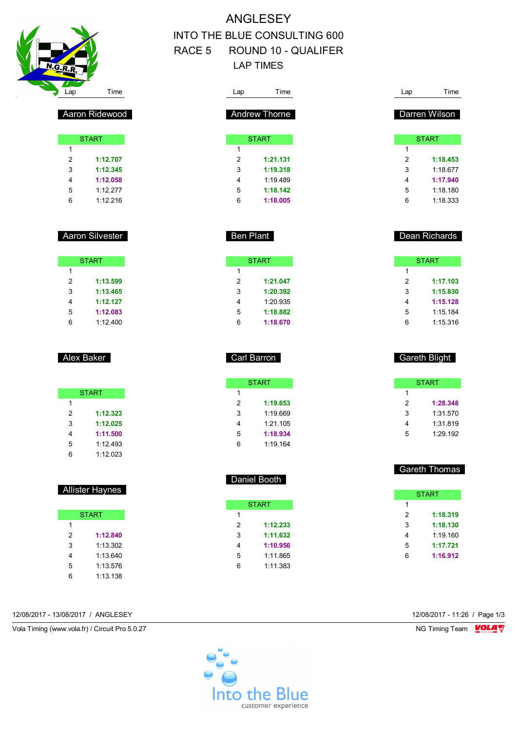

## ANGLESEY INTO THE BLUE CONSULTING 600 RACE 5 ROUND 10 - QUALIFER LAP TIMES

Carl Barron

START

 **1:19.653** 1:19.669 1:21.105 **1:18.934** 1:19.164

Daniel Booth

**START** 

 **1:12.233 1:11.632 1:10.956** 1:11.865 1:11.383

| Lap            | Time                 | Lap            | Time          |
|----------------|----------------------|----------------|---------------|
|                | <b>Andrew Thorne</b> |                | Darren Wilson |
|                |                      |                |               |
|                | <b>START</b>         |                | <b>START</b>  |
| $\mathbf{1}$   |                      | $\mathbf{1}$   |               |
| $\overline{2}$ | 1:21.131             | $\overline{2}$ | 1:18.453      |
| 3              | 1:19.318             | 3              | 1:18.677      |
| 4              | 1:19.489             | $\overline{4}$ | 1:17.940      |
| 5              | 1:18.142             | 5              | 1:18.180      |
| 6              | 1:18.005             | 6              | 1:18.333      |
|                |                      |                |               |
|                |                      |                |               |
|                |                      |                |               |
|                | <b>Ben Plant</b>     |                | Dean Richards |
|                |                      |                |               |
|                | <b>START</b>         |                | <b>START</b>  |
| $\mathbf{1}$   |                      | $\mathbf{1}$   |               |
| $\overline{2}$ | 1:21.047             | $\overline{2}$ | 1:17.103      |
| 3              | 1:20.392             | 3              | 1:15.830      |
| 4              | 1:20.935             | $\overline{4}$ | 1:15.128      |
| 5              | 1:18.882             | 5              | 1:15.184      |
| 6              | 1:18.670             | 6              | 1:15.316      |
|                |                      |                |               |

| 4 | 1:15.128             |
|---|----------------------|
| 5 | 1:15.184             |
| 6 | 1:15.316             |
|   |                      |
|   |                      |
|   | <b>Gareth Blight</b> |

|   | <b>START</b> |
|---|--------------|
| 1 |              |
| 2 | 1:28.348     |
| 3 | 1:31.570     |
| 4 | 1:31.819     |
| 5 | 1.29192      |

| <b>Gareth Thomas</b> |
|----------------------|
|                      |
|                      |
|                      |

|   | <b>START</b> |
|---|--------------|
| 1 |              |
| 2 | 1:18.319     |
| 3 | 1:18.130     |
| 4 | 1:19.160     |
| 5 | 1:17.721     |
| 6 | 1:16.912     |
|   |              |

| 12/08/2017 - 11:26 / Page 1 |  |  |  |
|-----------------------------|--|--|--|

| Aaron Ridewood |
|----------------|
|----------------|

|   | <b>START</b> |
|---|--------------|
| 1 |              |
| 2 | 1:12.707     |
| 3 | 1:12.345     |
| 4 | 1:12.058     |
| 5 | 1.12 277     |
| հ | 1.12216      |

## Aaron Silvester

|   | <b>START</b> |
|---|--------------|
| 1 |              |
| 2 | 1:13.599     |
| 3 | 1:13.465     |
| 4 | 1:12.127     |
| 5 | 1:12.083     |
| հ | 1:12.400     |

## Alex Baker

|   | <b>START</b> |
|---|--------------|
| 1 |              |
| 2 | 1:12.323     |
| 3 | 1:12.025     |
| 4 | 1:11.500     |
| 5 | 1:12.493     |
| հ | 1:12.023     |

## Allister Haynes

|   | <b>START</b> |
|---|--------------|
| 1 |              |
| 2 | 1:12.840     |
| 3 | 1.13.302     |
| 4 | 1.13 640     |
| 5 | 1:13.576     |
| հ | 1:13.138     |

12/08/2017 - 13/08/2017 / ANGLESEY 12/08/2017 - 11:26 / Page 1/3

Vola Timing (www.vola.fr) / Circuit Pro 5.0.27 NG Timing Team NG Timing Team NG Timing Team NG Timing Team NG

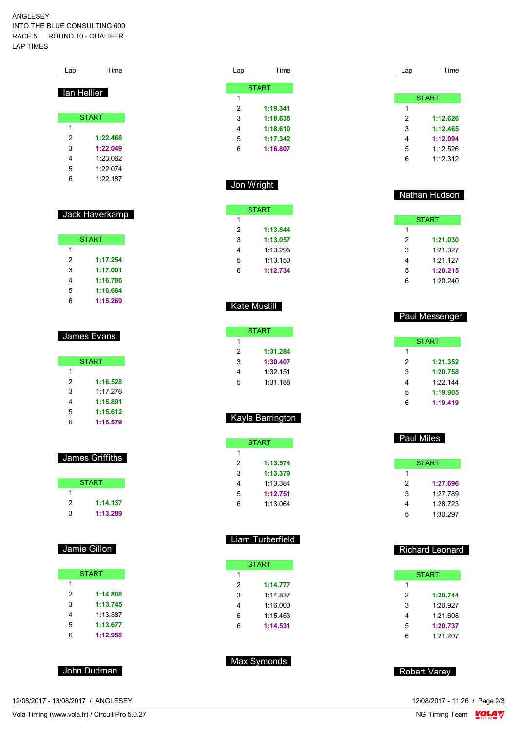#### ANGLESEY INTO THE BLUE CONSULTING 600 RACE 5 ROUND 10 - QUALIFER LAP TIMES

| Lap         | Time         |
|-------------|--------------|
| lan Hellier |              |
|             |              |
|             | <b>START</b> |
| 1           |              |
| 2           | 1:22.468     |
| 3           | 1:22.049     |
| 4           | 1.23.062     |
| 5           | 1.22.074     |
| 6           | 1.22 187     |

## Jack Haverkamp

|   | <b>START</b> |
|---|--------------|
| 1 |              |
| 2 | 1:17.254     |
| 3 | 1:17.001     |
| 4 | 1:16.786     |
| 5 | 1:16.684     |
| հ | 1:15.269     |

#### James Evans

|   | <b>START</b> |
|---|--------------|
| 1 |              |
| 2 | 1:16.528     |
| 3 | 1.17276      |
| 4 | 1:15.891     |
| 5 | 1:15.612     |
| Բ | 1:15.579     |

#### James Griffiths

|   | <b>START</b> |
|---|--------------|
|   |              |
| 2 | 1:14.137     |
| 3 | 1:13.289     |

## Jamie Gillon

| <b>START</b> |          |  |
|--------------|----------|--|
| 1            |          |  |
| 2            | 1:14.808 |  |
| 3            | 1:13.745 |  |
| 4            | 1:13.887 |  |
| 5            | 1:13.677 |  |
| հ            | 1:12.958 |  |

#### John Dudman

12/08/2017 - 13/08/2017 / ANGLESEY

Vola Timing (www.vola.fr) / Circuit Pro 5.0.27

| Lap | Time         |
|-----|--------------|
|     |              |
|     | <b>START</b> |
| 1   |              |
| 2   | 1:19.341     |
| 3   | 1:18.635     |
| 4   | 1:18.610     |
| 5   | 1:17.342     |
| 6   | 1:16.807     |
|     |              |

## Jon Wright

|   | <b>START</b> |
|---|--------------|
| 1 |              |
| 2 | 1:13.844     |
| 3 | 1:13.057     |
| 4 | 1.13295      |
| 5 | 1:13.150     |
| հ | 1:12.734     |

### Kate Mustill

|   | START    |
|---|----------|
| 1 |          |
| 2 | 1:31.284 |
| 3 | 1:30.407 |
| 4 | 1:32.151 |
| 5 | 1:31.188 |

## Kayla Barrington

|   | <b>START</b> |
|---|--------------|
| 1 |              |
| 2 | 1:13.574     |
| 3 | 1:13.379     |
| 4 | 1:13.384     |
| 5 | 1:12.751     |
| հ | 1.13064      |

### Liam Turberfield

|   | <b>START</b> |
|---|--------------|
| 1 |              |
| 2 | 1:14.777     |
| 3 | 1.14837      |
| 4 | 1:16.000     |
| 5 | 1:15.453     |
| հ | 1:14.531     |
|   |              |

### Max Symonds

| Lap | Time         |
|-----|--------------|
|     |              |
|     | <b>START</b> |
| 1   |              |
| 2   | 1:12.626     |
| 3   | 1:12.465     |
| 4   | 1:12.094     |
| 5   | 1:12.526     |
| 6   | 1:12.312     |

#### Nathan Hudson

| <b>START</b> |          |  |
|--------------|----------|--|
| 1            |          |  |
| 2            | 1:21.030 |  |
| 3            | 1.21.327 |  |
| 4            | 1:21.127 |  |
| 5            | 1:20.215 |  |
| հ            | 1:20.240 |  |

## Paul Messenger

|   | <b>START</b> |
|---|--------------|
| 1 |              |
| 2 | 1:21.352     |
| 3 | 1:20.758     |
| 4 | 1.22.144     |
| 5 | 1:19.905     |
| 6 | 1:19.419     |

# Paul Miles START

| 2 | 1:27.696 |
|---|----------|
| 3 | 1.27 789 |
| 4 | 1:28.723 |
| 5 | 1:30 297 |
|   |          |

## Richard Leonard

|   | START    |
|---|----------|
| 1 |          |
| 2 | 1:20.744 |
| 3 | 1:20.927 |
| 4 | 1:21.608 |
| 5 | 1:20.737 |
| հ | 1:21.207 |

#### Robert Varey

12/08/2017 - 11:26 / Page 2/3<br>NG Timing Team  $\frac{\text{VOL4}}{\text{V}}$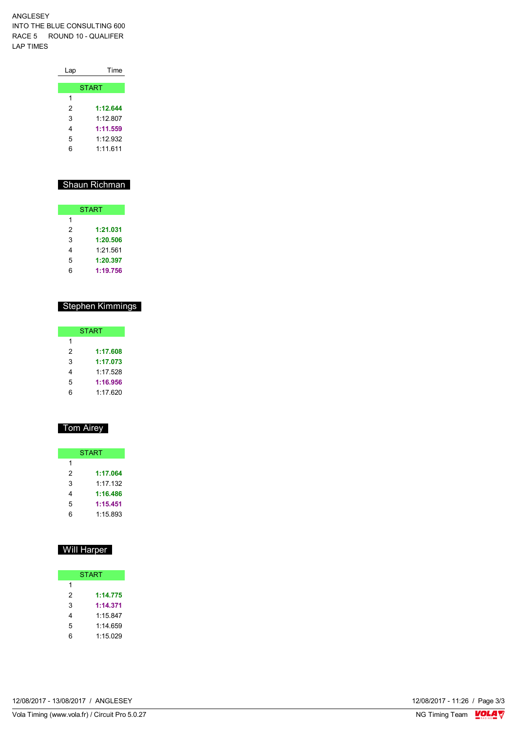ANGLESEY INTO THE BLUE CONSULTING 600 RACE 5 ROUND 10 - QUALIFER LAP TIMES

| Lap | Time         |
|-----|--------------|
|     |              |
|     | <b>START</b> |
| 1   |              |
| 2   | 1:12.644     |
| 3   | 1:12.807     |
| 4   | 1:11.559     |
| 5   | 1:12.932     |
| 6   | 1.11.611     |
|     |              |

## Shaun Richman

| <b>START</b> |          |  |  |  |  |  |
|--------------|----------|--|--|--|--|--|
| 1            |          |  |  |  |  |  |
| 2            | 1:21.031 |  |  |  |  |  |
| 3            | 1:20.506 |  |  |  |  |  |
| 4            | 1:21.561 |  |  |  |  |  |
| 5            | 1:20.397 |  |  |  |  |  |
| հ            | 1:19.756 |  |  |  |  |  |

## Stephen Kimmings

|   | <b>START</b> |
|---|--------------|
| 1 |              |
| 2 | 1:17.608     |
| 3 | 1:17.073     |
| 4 | 1.17528      |
| 5 | 1:16.956     |
| հ | 1.17620      |

## Tom Airey

|   | <b>START</b> |
|---|--------------|
| 1 |              |
| 2 | 1:17.064     |
| 3 | 1.17 132     |
| 4 | 1:16.486     |
| 5 | 1:15.451     |
| հ | 1:15.893     |

## Will Harper

| <b>START</b> |          |  |  |  |  |  |
|--------------|----------|--|--|--|--|--|
| 1            |          |  |  |  |  |  |
| 2            | 1:14.775 |  |  |  |  |  |
| 3            | 1:14.371 |  |  |  |  |  |
| 4            | 1:15.847 |  |  |  |  |  |
| 5            | 1:14.659 |  |  |  |  |  |
| 6            | 1:15.029 |  |  |  |  |  |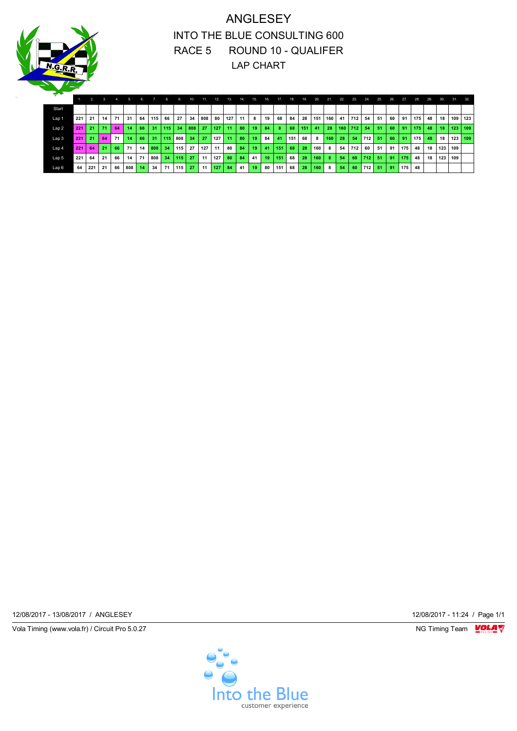

## ANGLESEY INTO THE BLUE CONSULTING 600 RACE 5 ROUND 10 - QUALIFER LAP CHART

| ÷                |     |                |    |    |                 |                 |     |              |     |                 |                  |     |     |     |     |     |     |     |     |     |     |     |             |      |     |     |     |     |     |         |         |     |
|------------------|-----|----------------|----|----|-----------------|-----------------|-----|--------------|-----|-----------------|------------------|-----|-----|-----|-----|-----|-----|-----|-----|-----|-----|-----|-------------|------|-----|-----|-----|-----|-----|---------|---------|-----|
|                  |     | $\overline{2}$ | 3  |    |                 | 6.              |     | $\mathbf{a}$ |     | 10 <sup>1</sup> | 11               | 12  | 13. | 14. | 15. | 16. | 17  | 18  | 19. | 20. | 21. | 22. | 23.         | 24.  | 25. | 26. | 27  | 28. | 29. | 30.     | 31.     | 32. |
| Start            |     |                |    |    |                 |                 |     |              |     |                 |                  |     |     |     |     |     |     |     |     |     |     |     |             |      |     |     |     |     |     |         |         |     |
| Lap 1            | 221 | 21             | 14 | 71 | 31              | 64              | 115 | 66           | 27  | -34             | 808              | 80  | 127 | 11  | 8   | 19  | 68  | 84  | 28  | 151 | 160 | 41  | 712         | 54   | 51  | 60  | 91  | 175 | 48  | 18      | 109 123 |     |
| Lap 2            | 221 | 21             | 71 | 64 | 14              | 66              | 31  | 115          | 34  | 808             | 27               | 127 | 11  | 80  | 19  | 84  | 8   | 68  | 151 | 41  | 28  |     | $160$   712 | -54  | 51  | 60  | 91  | 175 | 48  | 18      | 123 109 |     |
| Lap <sub>3</sub> | 221 | 21             | 64 | 71 | 14              | 66              | 31  | 115          | 808 | 34              | -27              | 127 | 11  | 80  | 19  | 84  | -41 | 151 | 68  | 8   | 160 | 28  | 54          | 712  | 51  | 60  | 91  | 175 | 48  | 18      | 123 109 |     |
| Lap <sub>4</sub> | 221 | 64             | 21 | 66 | 71              | 14              | 808 | 34           | 115 | 27              | 127 <sup>1</sup> | 11  | 80  | 84  | 19  | 41  | 151 | 68  | 28  | 160 | 8   | 54  | 712         | 60 l | 51  | 91  | 175 | 48  | 18  | 123 109 |         |     |
| Lap 5            | 221 | 64             | 21 | 66 | 14 <sup>1</sup> | 71              | 808 | 34           | 115 | -27             | 11               | 127 | 80  | 84  | 41  | 19  | 151 | 68  | 28  | 160 | 8   | -54 | 60          | 712  | 51  | 91  | 175 | 48  | 18  | 123 109 |         |     |
| Lap <sub>6</sub> | 64  | 221            | 21 | 66 | 808             | 14 <sup>1</sup> | 34  | 71           | 115 | 27              | 11               | 127 | 84  | 41  | 19  | 80  | 151 | 68  | 28  | 160 | 8   | -54 | 60          | 712  | -51 | 91  | 175 | 48  |     |         |         |     |

12/08/2017 - 13/08/2017 / ANGLESEY 12/08/2017 - 11:24 / Page 1/1

Vola Timing (www.vola.fr) / Circuit Pro 5.0.27 NG Timing Team VOLA V

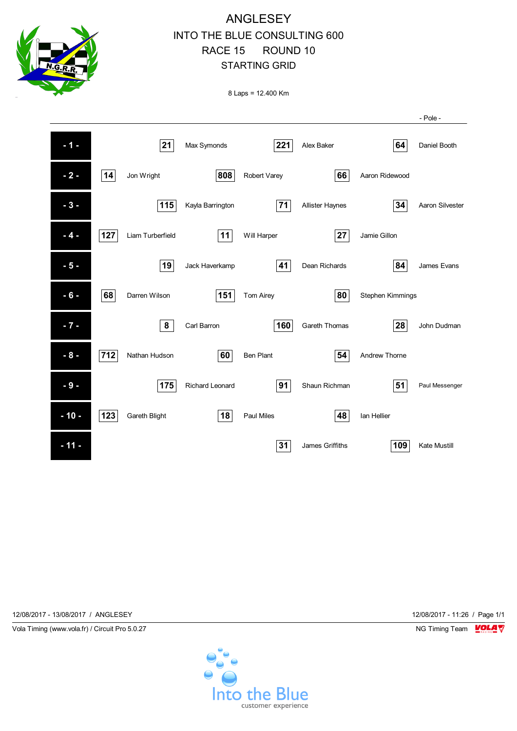

 **- 10 - 123** Gareth Blight **18** Paul Miles **48** Ian Hellier

**11 - 11 - 11 - 109** Kate Mustill

12/08/2017 - 13/08/2017 / ANGLESEY 12/08/2017 - 11:26 / Page 1/1



- Pole -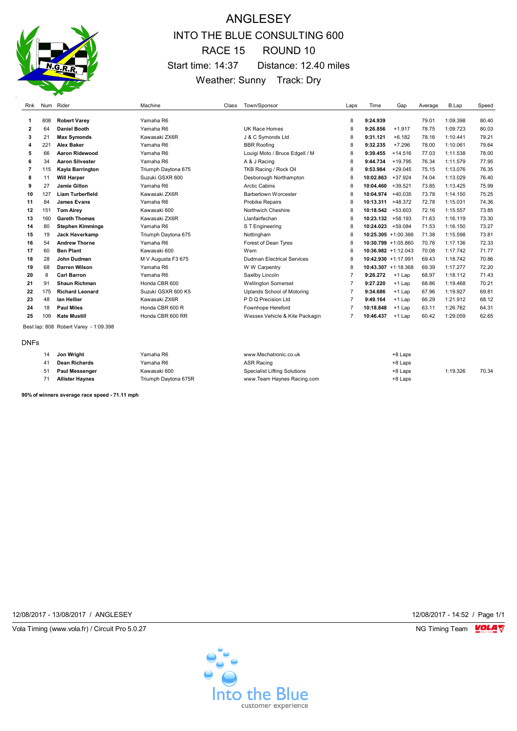

## ANGLESEY INTO THE BLUE CONSULTING 600 RACE 15 ROUND 10 Start time: 14:37 Distance: 12.40 miles Weather: Sunny Track: Dry

| Rnk          |     | Num Rider                             | Machine              | Class | Town/Sponsor                        | Laps           | Time                   | Gap       | Average | B.Lap    | Speed |
|--------------|-----|---------------------------------------|----------------------|-------|-------------------------------------|----------------|------------------------|-----------|---------|----------|-------|
| 1            | 808 | <b>Robert Varey</b>                   | Yamaha R6            |       |                                     | 8              | 9:24.939               |           | 79.01   | 1:09.398 | 80.40 |
| $\mathbf{2}$ | 64  | <b>Daniel Booth</b>                   | Yamaha R6            |       | <b>UK Race Homes</b>                | 8              | 9:26.856               | $+1.917$  | 78.75   | 1:09.723 | 80.03 |
| 3            | 21  | <b>Max Symonds</b>                    | Kawasaki ZX6R        |       | J & C Symonds Ltd                   | 8              | 9:31.121               | $+6.182$  | 78.16   | 1:10.441 | 79.21 |
| 4            | 221 | <b>Alex Baker</b>                     | Yamaha R6            |       | <b>BBR Roofing</b>                  | 8              | 9:32.235               | $+7.296$  | 78.00   | 1:10.061 | 79.64 |
| 5            | 66  | Aaron Ridewood                        | Yamaha R6            |       | Louigi Moto / Bruce Edgell / M      | 8              | 9:39.455               | $+14.516$ | 77.03   | 1:11.538 | 78.00 |
| 6            | 34  | <b>Aaron Silvester</b>                | Yamaha R6            |       | A & J Racing                        | 8              | 9:44.734               | $+19.795$ | 76.34   | 1:11.579 | 77.95 |
| 7            | 115 | Kayla Barrington                      | Triumph Daytona 675  |       | TKB Racing / Rock Oil               | 8              | 9:53.984               | $+29.045$ | 75.15   | 1:13.076 | 76.35 |
| 8            | 11  | <b>Will Harper</b>                    | Suzuki GSXR 600      |       | Desborough Northampton              | 8              | 10:02.863              | $+37.924$ | 74.04   | 1:13.029 | 76.40 |
| 9            | 27  | <b>Jamie Gillon</b>                   | Yamaha R6            |       | <b>Arctic Cabins</b>                | 8              | 10:04.460              | $+39.521$ | 73.85   | 1:13.425 | 75.99 |
| 10           | 127 | <b>Liam Turberfield</b>               | Kawasaki ZX6R        |       | <b>Barbertown Worcester</b>         | 8              | 10:04.974              | +40.035   | 73.78   | 1:14.150 | 75.25 |
| 11           | 84  | <b>James Evans</b>                    | Yamaha R6            |       | <b>Probike Repairs</b>              | 8              | 10:13.311              | +48.372   | 72.78   | 1:15.031 | 74.36 |
| 12           | 151 | <b>Tom Airey</b>                      | Kawasaki 600         |       | Northwich Cheshire                  | 8              | 10:18.542              | +53.603   | 72.16   | 1:15.557 | 73.85 |
| 13           | 160 | <b>Gareth Thomas</b>                  | Kawasaki ZX6R        |       | Llanfairfechan                      | 8              | 10:23.132              | +58.193   | 71.63   | 1:16.119 | 73.30 |
| 14           | 80  | <b>Stephen Kimmings</b>               | Yamaha R6            |       | S T Engineering                     | 8              | 10:24.023              | +59.084   | 71.53   | 1:16.150 | 73.27 |
| 15           | 19  | Jack Haverkamp                        | Triumph Daytona 675  |       | Nottingham                          | 8              | 10:25.305 +1:00.366    |           | 71.38   | 1:15.598 | 73.81 |
| 16           | 54  | <b>Andrew Thorne</b>                  | Yamaha R6            |       | Forest of Dean Tyres                | 8              | $10:30.799 + 1:05.860$ |           | 70.76   | 1:17.136 | 72.33 |
| 17           | 60  | <b>Ben Plant</b>                      | Kawasaki 600         |       | Wem                                 | 8              | $10:36.982 +1:12.043$  |           | 70.08   | 1:17.742 | 71.77 |
| 18           | 28  | John Dudman                           | M V Augusta F3 675   |       | <b>Dudman Electrical Services</b>   | 8              | 10:42.930 +1:17.991    |           | 69.43   | 1:18.742 | 70.86 |
| 19           | 68  | <b>Darren Wilson</b>                  | Yamaha R6            |       | W W Carpentry                       | 8              | 10:43.307 +1:18.368    |           | 69.39   | 1:17.277 | 72.20 |
| 20           | 8   | <b>Carl Barron</b>                    | Yamaha R6            |       | Saxilby Lincoln                     | $\overline{7}$ | 9:26.272               | $+1$ Lap  | 68.97   | 1:18.112 | 71.43 |
| 21           | 91  | <b>Shaun Richman</b>                  | Honda CBR 600        |       | <b>Wellington Somerset</b>          | $\overline{7}$ | 9:27.220               | $+1$ Lap  | 68.86   | 1:19.468 | 70.21 |
| 22           | 175 | <b>Richard Leonard</b>                | Suzuki GSXR 600 K5   |       | Uplands School of Motoring          | $\overline{7}$ | 9:34.686               | $+1$ Lap  | 67.96   | 1:19.927 | 69.81 |
| 23           | 48  | lan Hellier                           | Kawasaki ZX6R        |       | P D Q Precision Ltd                 | $\overline{7}$ | 9:49.164               | $+1$ Lap  | 66.29   | 1:21.912 | 68.12 |
| 24           | 18  | <b>Paul Miles</b>                     | Honda CBR 600 R      |       | Fownhope Hereford                   | $\overline{7}$ | 10:18.848              | $+1$ Lap  | 63.11   | 1:26.762 | 64.31 |
| 25           | 109 | <b>Kate Mustill</b>                   | Honda CBR 600 RR     |       | Wessex Vehicle & Kite Packagin      | $\overline{7}$ | 10:46.437              | $+1$ Lap  | 60.42   | 1:29.059 | 62.65 |
|              |     | Best lap: 808 Robert Varey - 1:09.398 |                      |       |                                     |                |                        |           |         |          |       |
| <b>DNFs</b>  |     |                                       |                      |       |                                     |                |                        |           |         |          |       |
|              | 14  | Jon Wright                            | Yamaha R6            |       | www.Mechatronic.co.uk               |                |                        | +8 Laps   |         |          |       |
|              | 41  | <b>Dean Richards</b>                  | Yamaha R6            |       | <b>ASR Racing</b>                   |                |                        | +8 Laps   |         |          |       |
|              | 51  | Paul Messenger                        | Kawasaki 600         |       | <b>Specialist Lifting Solutions</b> |                |                        | +8 Laps   |         | 1:19.326 | 70.34 |
|              | 71  | <b>Allister Haynes</b>                | Triumph Daytona 675R |       | www.Team Haynes Racing.com          |                |                        | +8 Laps   |         |          |       |

**90% of winners average race speed - 71.11 mph**

12/08/2017 - 13/08/2017 / ANGLESEY 12/08/2017 - 14:52 / Page 1/1

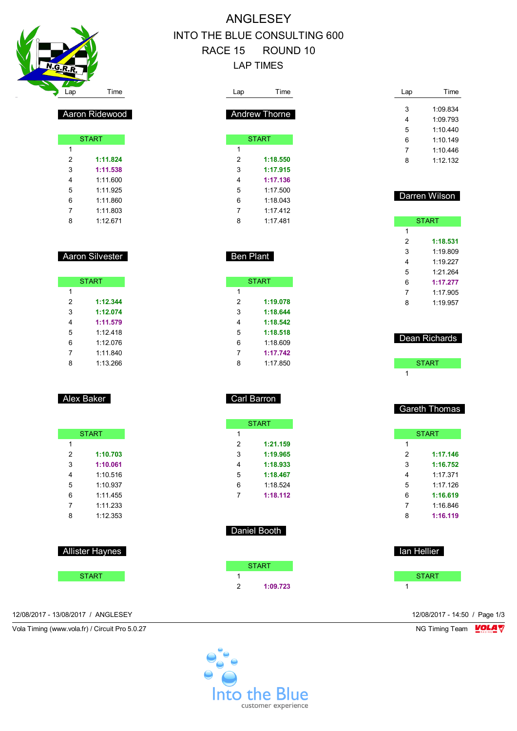

## ANGLESEY INTO THE BLUE CONSULTING 600 RACE 15 ROUND 10 LAP TIMES

| Lap              | Time                   | Lap                     | Time             | Lap            | Time                 |
|------------------|------------------------|-------------------------|------------------|----------------|----------------------|
|                  |                        |                         |                  | 3              | 1:09.834             |
|                  | Aaron Ridewood         |                         | Andrew Thorne    | 4              | 1:09.793             |
|                  |                        |                         |                  | 5              | 1:10.440             |
|                  | <b>START</b>           |                         | <b>START</b>     | 6              | 1:10.149             |
| $\mathbf{1}$     |                        | $\mathbf{1}$            |                  | 7              | 1:10.446             |
| $\boldsymbol{2}$ | 1:11.824               | $\sqrt{2}$              | 1:18.550         | 8              | 1:12.132             |
| 3                | 1:11.538               | 3                       | 1:17.915         |                |                      |
| 4                | 1:11.600               | 4                       | 1:17.136         |                |                      |
| 5                | 1:11.925               | 5                       | 1:17.500         |                | Darren Wilson        |
| 6                | 1:11.860               | 6                       | 1:18.043         |                |                      |
| 7                | 1:11.803               | 7                       | 1:17.412         |                |                      |
| 8                | 1:12.671               | 8                       | 1:17.481         |                | <b>START</b>         |
|                  |                        |                         |                  | 1              |                      |
|                  |                        |                         |                  | 2              | 1:18.531             |
|                  | Aaron Silvester        |                         | <b>Ben Plant</b> | 3<br>4         | 1:19.809             |
|                  |                        |                         |                  | 5              | 1:19.227<br>1:21.264 |
|                  | <b>START</b>           |                         | <b>START</b>     | 6              | 1:17.277             |
| 1                |                        | $\mathbf{1}$            |                  | 7              | 1:17.905             |
| 2                | 1:12.344               | $\overline{\mathbf{c}}$ | 1:19.078         | 8              | 1:19.957             |
| 3                | 1:12.074               | 3                       | 1:18.644         |                |                      |
| 4                | 1:11.579               | 4                       | 1:18.542         |                |                      |
| 5                | 1:12.418               | 5                       | 1:18.518         |                |                      |
| 6                | 1:12.076               | 6                       | 1:18.609         |                | Dean Richards        |
| 7                | 1:11.840               | 7                       | 1:17.742         |                |                      |
| 8                | 1:13.266               | 8                       | 1:17.850         |                | <b>START</b>         |
|                  |                        |                         |                  | 1              |                      |
|                  | Alex Baker             |                         | Carl Barron      |                |                      |
|                  |                        |                         |                  |                | <b>Gareth Thomas</b> |
|                  | <b>START</b>           | 1                       | <b>START</b>     |                |                      |
| 1                |                        | $\sqrt{2}$              | 1:21.159         | 1              | <b>START</b>         |
| 2                | 1:10.703               | 3                       | 1:19.965         | 2              | 1:17.146             |
| 3                | 1:10.061               | 4                       | 1:18.933         | 3              | 1:16.752             |
| 4                | 1:10.516               | 5                       | 1:18.467         | 4              | 1:17.371             |
| $\,$ 5 $\,$      | 1:10.937               | 6                       | 1:18.524         | 5              | 1:17.126             |
| 6                | 1:11.455               | $7^{\circ}$             | 1:18.112         | 6              | 1:16.619             |
| $\overline{7}$   | 1:11.233               |                         |                  | $\overline{7}$ | 1:16.846             |
| 8                | 1:12.353               |                         |                  | 8              | 1:16.119             |
|                  |                        |                         | Daniel Booth     |                |                      |
|                  | <b>Allister Haynes</b> |                         |                  | lan Hellier    |                      |
|                  |                        |                         | <b>START</b>     |                |                      |
|                  | <b>START</b>           | $\mathbf{1}$            |                  |                | <b>START</b>         |
|                  |                        | 2                       | 1:09.723         | 1              |                      |
|                  |                        |                         |                  |                |                      |

12/08/2017 - 13/08/2017 / ANGLESEY 12/08/2017 - 14:50 / Page 1/3

Vola Timing (www.vola.fr) / Circuit Pro 5.0.27 NG Timing Team VOLA V

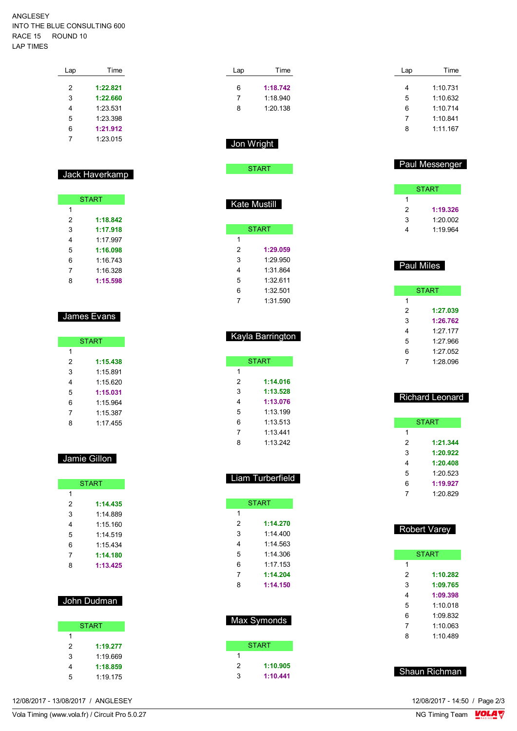#### ANGLESEY INTO THE BLUE CONSULTING 600 RACE 15 ROUND 10 LAP TIMES

| Lap | Time     |
|-----|----------|
| 2   | 1:22.821 |
| 3   | 1:22.660 |
| 4   | 1:23.531 |
| 5   | 1:23.398 |
| 6   | 1:21.912 |
| 7   | 1.23.015 |

### Jack Haverkamp

| <b>START</b> |          |
|--------------|----------|
| 1            |          |
| 2            | 1:18.842 |
| 3            | 1:17.918 |
| 4            | 1:17.997 |
| 5            | 1:16.098 |
| 6            | 1:16.743 |
| 7            | 1:16.328 |
| 8            | 1:15.598 |

### James Evans

| <b>START</b> |          |
|--------------|----------|
| 1            |          |
| 2            | 1:15.438 |
| 3            | 1:15.891 |
| 4            | 1:15.620 |
| 5            | 1:15.031 |
| 6            | 1:15.964 |
| 7            | 1:15.387 |
| Զ            | 1:17.455 |

## Jamie Gillon

|   | <b>START</b> |
|---|--------------|
| 1 |              |
| 2 | 1:14.435     |
| 3 | 1:14.889     |
| 4 | 1:15.160     |
| 5 | 1.14519      |
| 6 | 1:15.434     |
| 7 | 1:14.180     |
| 8 | 1:13.425     |

## John Dudman

|   | <b>START</b> |
|---|--------------|
| 1 |              |
| 2 | 1:19.277     |
| 3 | 1.19669      |
| 4 | 1:18.859     |
| 5 | 1:19.175     |

| 8              | 1:20.138                         |
|----------------|----------------------------------|
| Jon Wright     | <b>START</b>                     |
|                | Kate Mustill                     |
|                | <b>START</b>                     |
| 1              |                                  |
| $\overline{2}$ | 1:29.059                         |
| 3              | 1:29.950                         |
| 4              | 1:31.864                         |
| 5              | 1:32.611                         |
| 6              | 1:32.501                         |
| 7              | 1:31.590                         |
|                | Kayla Barrington<br><b>START</b> |
|                |                                  |
| 1              |                                  |
| $\overline{2}$ | 1:14.016                         |
| 3              | 1:13.528                         |
| 4              | 1:13.076                         |
| 5              | 1:13.199                         |
| 6              | 1:13.513                         |
| 7              | 1:13.441                         |
| 8              | 1:13.242                         |
|                |                                  |

Lap Time **1:18.742** 1:18.940

| Liam Turberfield |
|------------------|
|                  |

|   | <b>START</b> |
|---|--------------|
| 1 |              |
| 2 | 1:14.270     |
| 3 | 1.14400      |
| 4 | 1:14 563     |
| 5 | 1.14.306     |
| 6 | 1:17.153     |
| 7 | 1:14.204     |
| 8 | 1:14.150     |
|   |              |

| Max Symonds |          |  |
|-------------|----------|--|
|             | START    |  |
| 1           |          |  |
| 2           | 1:10.905 |  |
| 3           | 1:10.441 |  |

| Lap | Time     |
|-----|----------|
| 4   | 1:10.731 |
|     |          |
| 5   | 1.10632  |
| 6   | 1:10.714 |
| 7   | 1.10.841 |
| 8   | 1.11167  |
|     |          |

## Paul Messenger

| <b>START</b> |          |
|--------------|----------|
| 1            |          |
| 2            | 1:19.326 |
| 3            | 1:20.002 |
|              | 1.19964  |

## Paul Miles

| <b>START</b> |            |  |
|--------------|------------|--|
| 1            |            |  |
| 2            | 1:27.039   |  |
| 3            | 1:26.762   |  |
| 4            | $1:27$ 177 |  |
| 5            | 1.27.966   |  |
| 6            | 1:27.052   |  |
| 7            | 1:28.096   |  |

## Richard Leonard

|   | START    |
|---|----------|
| 1 |          |
| 2 | 1:21.344 |
| 3 | 1:20.922 |
| 4 | 1:20.408 |
| 5 | 1.20.523 |
| 6 | 1:19.927 |
| 7 | 1:20.829 |
|   |          |

## Robert Varey

|   | <b>START</b> |  |  |  |  |  |  |  |  |  |  |
|---|--------------|--|--|--|--|--|--|--|--|--|--|
| 1 |              |  |  |  |  |  |  |  |  |  |  |
| 2 | 1:10.282     |  |  |  |  |  |  |  |  |  |  |
| 3 | 1:09.765     |  |  |  |  |  |  |  |  |  |  |
| 4 | 1:09.398     |  |  |  |  |  |  |  |  |  |  |
| 5 | 1.10018      |  |  |  |  |  |  |  |  |  |  |
| 6 | 1.09832      |  |  |  |  |  |  |  |  |  |  |
| 7 | 1.10063      |  |  |  |  |  |  |  |  |  |  |
| 8 | 1.10489      |  |  |  |  |  |  |  |  |  |  |
|   |              |  |  |  |  |  |  |  |  |  |  |

Shaun Richman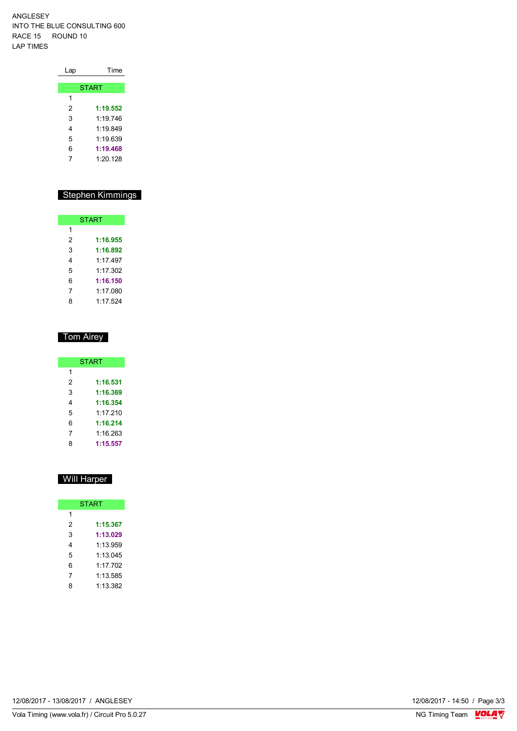ANGLESEY INTO THE BLUE CONSULTING 600 RACE 15 ROUND 10 LAP TIMES

| Lap | Time         |
|-----|--------------|
|     |              |
|     | <b>START</b> |
| 1   |              |
| 2   | 1:19.552     |
| 3   | 1.19746      |
| 4   | 1.19849      |
| 5   | 1:19.639     |
| 6   | 1:19.468     |
| 7   | 1.20128      |
|     |              |

## Stephen Kimmings

| <b>START</b> |          |  |  |  |  |  |  |  |  |  |
|--------------|----------|--|--|--|--|--|--|--|--|--|
| 1            |          |  |  |  |  |  |  |  |  |  |
| 2            | 1:16.955 |  |  |  |  |  |  |  |  |  |
| 3            | 1:16.892 |  |  |  |  |  |  |  |  |  |
| 4            | 1.17497  |  |  |  |  |  |  |  |  |  |
| 5            | 1:17.302 |  |  |  |  |  |  |  |  |  |
| 6            | 1:16.150 |  |  |  |  |  |  |  |  |  |
| 7            | 1:17.080 |  |  |  |  |  |  |  |  |  |
| 8            | 1:17.524 |  |  |  |  |  |  |  |  |  |

### Tom Airey

| <b>START</b> |          |  |  |  |  |  |  |  |  |
|--------------|----------|--|--|--|--|--|--|--|--|
| 1            |          |  |  |  |  |  |  |  |  |
| 2            | 1:16.531 |  |  |  |  |  |  |  |  |
| 3            | 1:16.369 |  |  |  |  |  |  |  |  |
| 4            | 1:16.354 |  |  |  |  |  |  |  |  |
| 5            | 1.17 210 |  |  |  |  |  |  |  |  |
| 6            | 1:16.214 |  |  |  |  |  |  |  |  |
| 7            | 1:16.263 |  |  |  |  |  |  |  |  |
| Զ            | 1:15.557 |  |  |  |  |  |  |  |  |

## Will Harper

| <b>START</b> |          |  |  |  |  |  |  |  |  |
|--------------|----------|--|--|--|--|--|--|--|--|
| 1            |          |  |  |  |  |  |  |  |  |
| 2            | 1:15.367 |  |  |  |  |  |  |  |  |
| 3            | 1:13.029 |  |  |  |  |  |  |  |  |
| 4            | 1:13.959 |  |  |  |  |  |  |  |  |
| 5            | 1:13.045 |  |  |  |  |  |  |  |  |
| 6            | 1.17 702 |  |  |  |  |  |  |  |  |
| 7            | 1:13.585 |  |  |  |  |  |  |  |  |
| 8            | 1:13.382 |  |  |  |  |  |  |  |  |